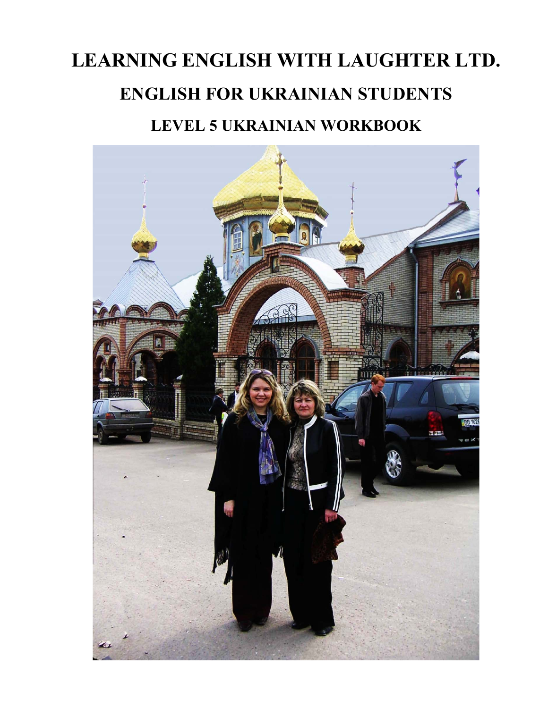# **LEARNING ENGLISH WITH LAUGHTER LTD. ENGLISH FOR UKRAINIAN STUDENTS LEVEL 5 UKRAINIAN WORKBOOK**

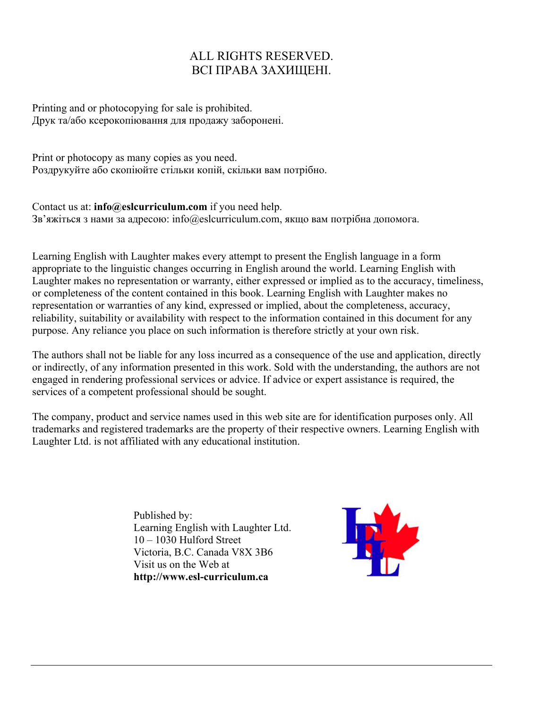#### ALL RIGHTS RESERVED. ВСІ ПРАВА ЗАХИЩЕНІ.

Printing and or photocopying for sale is prohibited. Друк та/або ксерокопіювання для продажу заборонені.

Print or photocopy as many copies as you need. Роздрукуйте або скопіюйте стільки копій, скільки вам потрібно.

Contact us at: **info@eslcurriculum.com** if you need help. Зв'яжіться з нами за адресою: info@eslcurriculum.com, якщо вам потрібна допомога.

Learning English with Laughter makes every attempt to present the English language in a form appropriate to the linguistic changes occurring in English around the world. Learning English with Laughter makes no representation or warranty, either expressed or implied as to the accuracy, timeliness, or completeness of the content contained in this book. Learning English with Laughter makes no representation or warranties of any kind, expressed or implied, about the completeness, accuracy, reliability, suitability or availability with respect to the information contained in this document for any purpose. Any reliance you place on such information is therefore strictly at your own risk.

The authors shall not be liable for any loss incurred as a consequence of the use and application, directly or indirectly, of any information presented in this work. Sold with the understanding, the authors are not engaged in rendering professional services or advice. If advice or expert assistance is required, the services of a competent professional should be sought.

The company, product and service names used in this web site are for identification purposes only. All trademarks and registered trademarks are the property of their respective owners. Learning English with Laughter Ltd. is not affiliated with any educational institution.

> Published by: Learning English with Laughter Ltd. 10 – 1030 Hulford Street Victoria, B.C. Canada V8X 3B6 Visit us on the Web at  **http://www.esl-curriculum.ca**

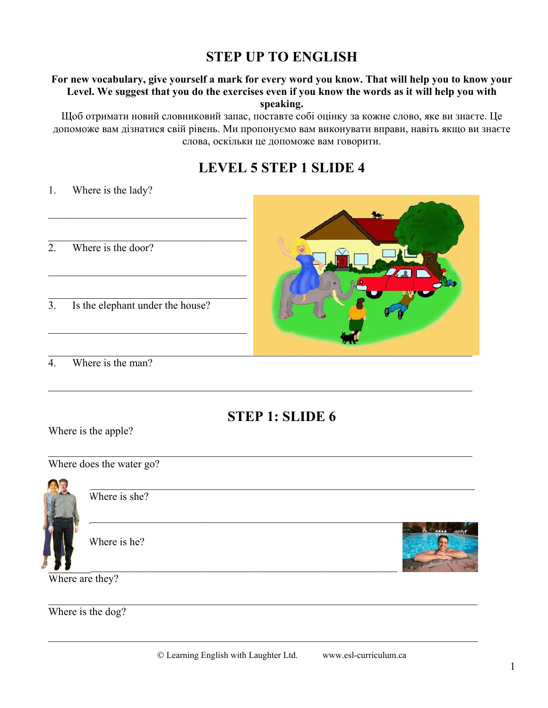# **STEP UP TO ENGLISH**

#### For new vocabulary, give yourself a mark for every word you know. That will help you to know your Level. We suggest that you do the exercises even if you know the words as it will help you with speaking.

Щоб отримати новий словниковий запас, поставте собі оцінку за кожне слово, яке ви знаєте. Це допоможе вам дізнатися свій рівень. Ми пропонуємо вам виконувати вправи, навіть якщо ви знаєте слова, оскільки це допоможе вам говорити.

# **LEVEL 5 STEP 1 SLIDE 4**

 $1.$ Where is the lady?

- $\overline{2}$ . Where is the door?
- Is the elephant under the house?  $\overline{3}$ .



 $\overline{4}$ . Where is the man?

# **STEP 1: SLIDE 6**

Where is the apple?

Where does the water go?



Where is she?

Where is he?



Where are they?

Where is the dog?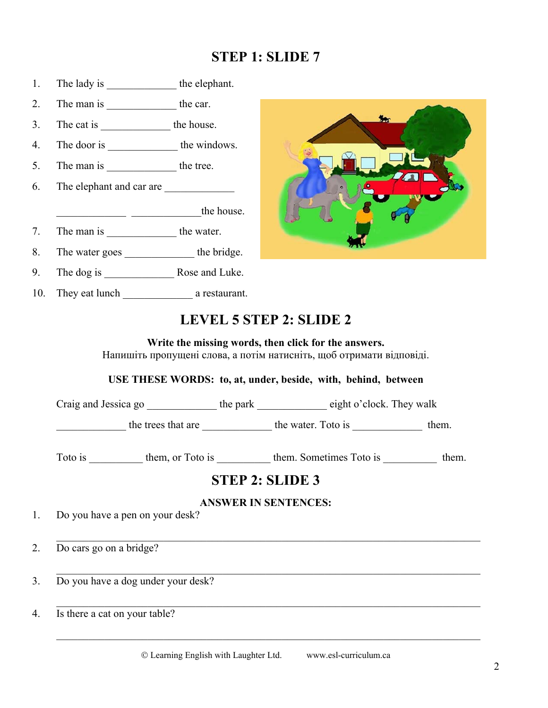# **STEP 1: SLIDE 7**

- 1. The lady is the elephant.
- 2. The man is the car.
- 3. The cat is \_\_\_\_\_\_\_\_\_\_\_\_\_ the house.
- 4. The door is \_\_\_\_\_\_\_\_\_\_\_\_\_ the windows.
- 5. The man is the tree.
- 6. The elephant and car are
- $\frac{1}{\sqrt{1-\frac{1}{2}}}\frac{1}{\sqrt{1-\frac{1}{2}}}\frac{1}{\sqrt{1-\frac{1}{2}}}\frac{1}{\sqrt{1-\frac{1}{2}}}\frac{1}{\sqrt{1-\frac{1}{2}}}\frac{1}{\sqrt{1-\frac{1}{2}}}\frac{1}{\sqrt{1-\frac{1}{2}}}\frac{1}{\sqrt{1-\frac{1}{2}}}\frac{1}{\sqrt{1-\frac{1}{2}}}\frac{1}{\sqrt{1-\frac{1}{2}}}\frac{1}{\sqrt{1-\frac{1}{2}}}\frac{1}{\sqrt{1-\frac{1}{2}}}\frac{1}{\sqrt{1-\frac{1}{2}}}\frac{1}{\sqrt{1-\frac{$
- 7. The man is the water.
- 8. The water goes the bridge.
- 9. The dog is Rose and Luke.
- 10. They eat lunch a restaurant.



# **LEVEL 5 STEP 2: SLIDE 2**

**Write the missing words, then click for the answers.**  Напишіть пропущені слова, а потім натисніть, щоб отримати відповіді.

**USE THESE WORDS: to, at, under, beside, with, behind, between**

Craig and Jessica go  $\qquad \qquad$  the park  $\qquad \qquad$  eight o'clock. They walk

The trees that are **the trees that are the water.** Toto is \_\_\_\_\_\_\_\_\_\_\_\_\_ them.

Toto is them, or Toto is them. Sometimes Toto is them.

# **STEP 2: SLIDE 3**

#### **ANSWER IN SENTENCES:**

1. Do you have a pen on your desk?

2. Do cars go on a bridge?

3. Do you have a dog under your desk?

4. Is there a cat on your table?

 $\mathcal{L}_\text{max} = \frac{1}{2} \sum_{i=1}^{n} \frac{1}{2} \sum_{i=1}^{n} \frac{1}{2} \sum_{i=1}^{n} \frac{1}{2} \sum_{i=1}^{n} \frac{1}{2} \sum_{i=1}^{n} \frac{1}{2} \sum_{i=1}^{n} \frac{1}{2} \sum_{i=1}^{n} \frac{1}{2} \sum_{i=1}^{n} \frac{1}{2} \sum_{i=1}^{n} \frac{1}{2} \sum_{i=1}^{n} \frac{1}{2} \sum_{i=1}^{n} \frac{1}{2} \sum_{i=1}^{n} \frac{1$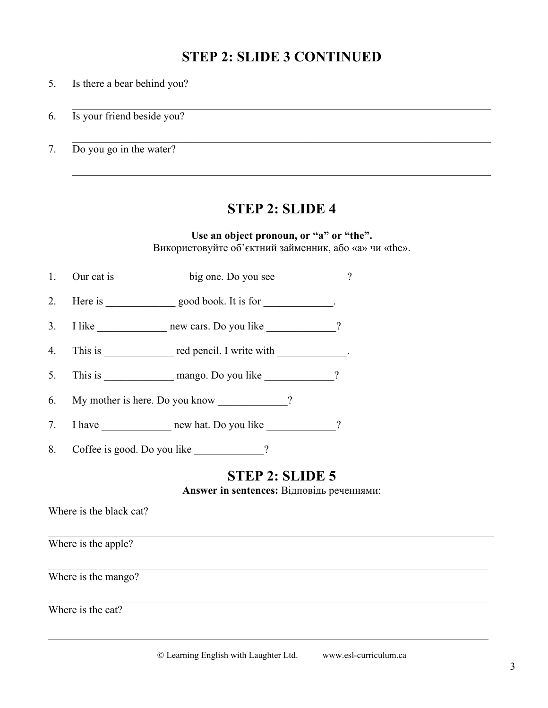# **STEP 2: SLIDE 3 CONTINUED**

- 5. Is there a bear behind you?
- 6. Is your friend beside you?
- 7. Do you go in the water?

#### **STEP 2: SLIDE 4**

 $\mathcal{L}_\text{max} = \frac{1}{2} \sum_{i=1}^n \mathcal{L}_\text{max} \left[ \mathcal{L}_\text{max} \left( \mathcal{L}_\text{max} \right) - \mathcal{L}_\text{max} \left( \mathcal{L}_\text{max} \right) \right]$ 

 $\mathcal{L}_\text{max} = \frac{1}{2} \sum_{i=1}^n \mathcal{L}_\text{max} \left[ \mathcal{L}_\text{max} \left( \mathcal{L}_\text{max} \right) - \mathcal{L}_\text{max} \left( \mathcal{L}_\text{max} \right) \right]$ 

#### **Use an object pronoun, or "a" or "the".**

Використовуйте об'єктний займенник, або «a» чи «the».

- 1. Our cat is \_\_\_\_\_\_\_\_\_\_\_\_\_\_ big one. Do you see \_\_\_\_\_\_\_\_\_\_\_\_\_?
- 2. Here is \_\_\_\_\_\_\_\_\_\_\_\_\_\_\_ good book. It is for \_\_\_\_\_\_\_\_\_\_\_\_\_.
- 3. I like \_\_\_\_\_\_\_\_\_\_\_\_\_\_\_\_ new cars. Do you like \_\_\_\_\_\_\_\_\_\_\_\_?
- 4. This is \_\_\_\_\_\_\_\_\_\_\_\_\_ red pencil. I write with \_\_\_\_\_\_\_\_\_\_\_\_.
- 5. This is mango. Do you like 2
- 6. My mother is here. Do you know ?
- 7. I have \_\_\_\_\_\_\_\_\_\_\_\_\_\_\_\_\_ new hat. Do you like \_\_\_\_\_\_\_\_\_\_\_\_?
- 8. Coffee is good. Do you like  $\frac{1}{2}$

# **STEP 2: SLIDE 5**

**Answer in sentences:** Відповідь реченнями:

| Where is the black cat? |  |  |
|-------------------------|--|--|
| Where is the apple?     |  |  |
| Where is the mango?     |  |  |
| Where is the cat?       |  |  |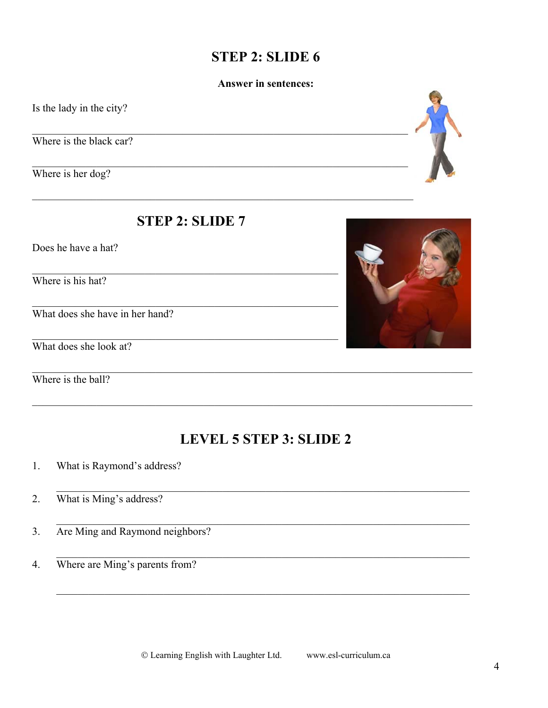# **STEP 2: SLIDE 6**

#### **Answer in sentences:**

Is the lady in the city?

Where is the black car?

Where is her dog?

### **STEP 2: SLIDE 7**

Does he have a hat?

Where is his hat?

What does she have in her hand?

What does she look at?

Where is the ball?

# **LEVEL 5 STEP 3: SLIDE 2**

- What is Raymond's address? 1.
- What is Ming's address?  $2.$
- Are Ming and Raymond neighbors?  $3.$
- Where are Ming's parents from?  $\overline{4}$ .





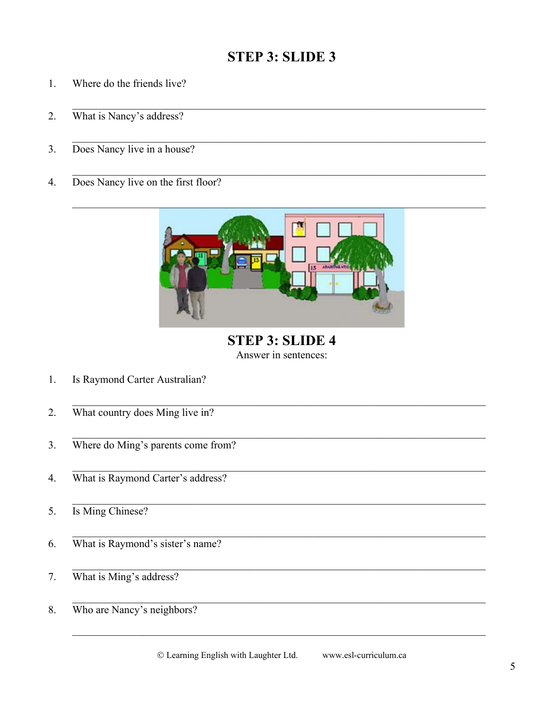# **STEP 3: SLIDE 3**

- 1. Where do the friends live?
- What is Nancy's address? 2.
- Does Nancy live in a house?  $3.$
- Does Nancy live on the first floor?  $4.$



**STEP 3: SLIDE 4** Answer in sentences:

- Is Raymond Carter Australian?  $1.$
- What country does Ming live in?  $2.$
- Where do Ming's parents come from?  $3.$
- What is Raymond Carter's address?  $\overline{4}$ .
- Is Ming Chinese? 5.
- What is Raymond's sister's name? 6.
- What is Ming's address? 7.
- Who are Nancy's neighbors? 8.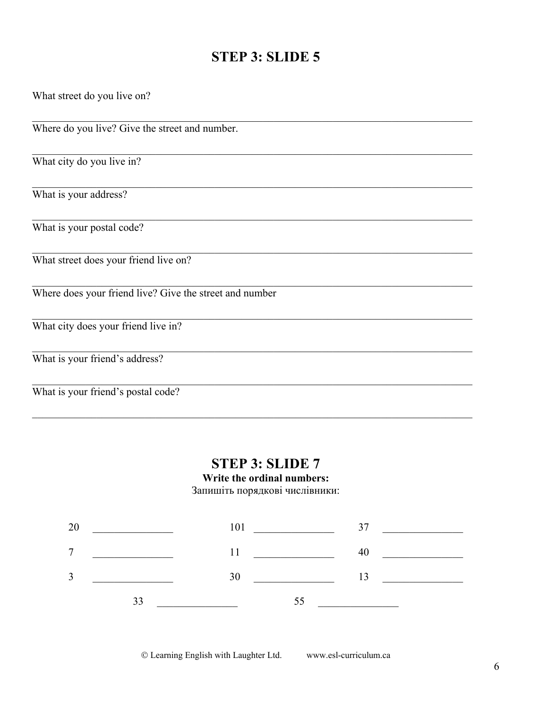# STEP 3: SLIDE 5

| What street do you live on?                             |
|---------------------------------------------------------|
| Where do you live? Give the street and number.          |
| What city do you live in?                               |
| What is your address?                                   |
| What is your postal code?                               |
| What street does your friend live on?                   |
| Where does your friend live? Give the street and number |
| What city does your friend live in?                     |
| What is your friend's address?                          |
| What is your friend's postal code?                      |

### **STEP 3: SLIDE 7**

#### Write the ordinal numbers:

Запишіть порядкові числівники:

| 20 | $101$ $37$ $101$                            |            |                                                                                                                                                                                                                                                                                            |
|----|---------------------------------------------|------------|--------------------------------------------------------------------------------------------------------------------------------------------------------------------------------------------------------------------------------------------------------------------------------------------|
|    | $7 \quad \qquad \overbrace{\qquad \qquad }$ | $11 \t 40$ |                                                                                                                                                                                                                                                                                            |
| 3  |                                             |            | $\frac{30}{13}$ and $\frac{13}{13}$ and $\frac{13}{13}$ and $\frac{1}{13}$ and $\frac{1}{13}$ and $\frac{1}{13}$ and $\frac{1}{13}$ and $\frac{1}{13}$ and $\frac{1}{13}$ and $\frac{1}{13}$ and $\frac{1}{13}$ and $\frac{1}{13}$ and $\frac{1}{13}$ and $\frac{1}{13}$ and $\frac{1}{13$ |
|    | 33                                          | 55         |                                                                                                                                                                                                                                                                                            |

© Learning English with Laughter Ltd. www.esl-curriculum.ca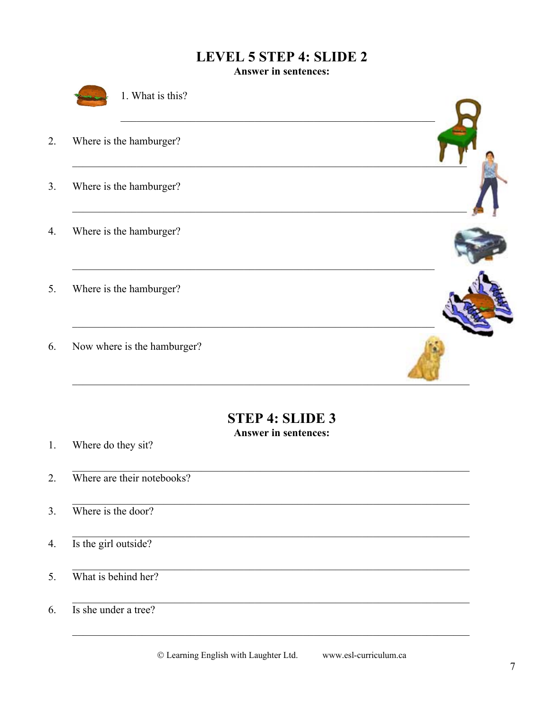# **LEVEL 5 STEP 4: SLIDE 2**

**Answer in sentences:** 



1. What is this?

- Where is the hamburger? 2.
- $3.$ Where is the hamburger?
- Where is the hamburger?  $\overline{4}$ .
- Where is the hamburger? 5.
- Now where is the hamburger? 6.



**Answer in sentences:** 

Where do they sit?  $1.$ 

- Where are their notebooks?  $\overline{2}$ .
- Where is the door?  $3.$
- Is the girl outside?  $4.$
- What is behind her? 5.
- Is she under a tree? 6.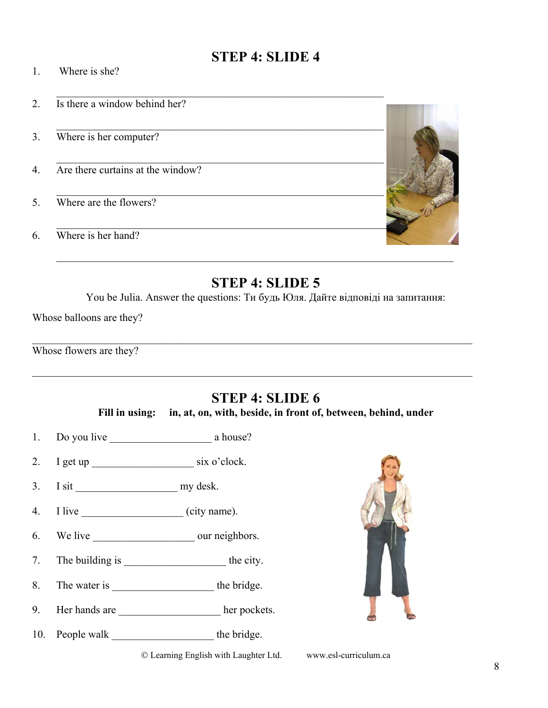# **STEP 4: SLIDE 4**

- 1. Where is she?
- 2. Is there a window behind her?
- 3. Where is her computer?
- 4. Are there curtains at the window?
- 5. Where are the flowers?
- 6. Where is her hand?



### **STEP 4: SLIDE 5**

You be Julia. Answer the questions: Ти будь Юля. Дайте відповіді на запитання:

Whose balloons are they?

|  |  | Whose flowers are they? |
|--|--|-------------------------|
|--|--|-------------------------|

# **STEP 4: SLIDE 6**

**Fill in using: in, at, on, with, beside, in front of, between, behind, under** 

- 1. Do you live a house?
- 2. I get up \_\_\_\_\_\_\_\_\_\_\_\_\_\_\_\_\_\_\_ six o'clock.
- 3. I sit my desk.
- 4. I live \_\_\_\_\_\_\_\_\_\_\_\_\_\_\_\_\_\_\_ (city name).
- 6. We live \_\_\_\_\_\_\_\_\_\_\_\_\_\_\_\_\_\_\_ our neighbors.
- 7. The building is \_\_\_\_\_\_\_\_\_\_\_\_\_\_\_\_\_\_\_\_\_\_\_\_\_\_\_the city.
- 8. The water is the bridge.
- 9. Her hands are \_\_\_\_\_\_\_\_\_\_\_\_\_\_\_\_\_\_\_\_\_ her pockets.
- 10. People walk \_\_\_\_\_\_\_\_\_\_\_\_\_\_\_\_\_\_\_\_\_\_\_\_ the bridge.

Learning English with Laughter Ltd. www.esl-curriculum.ca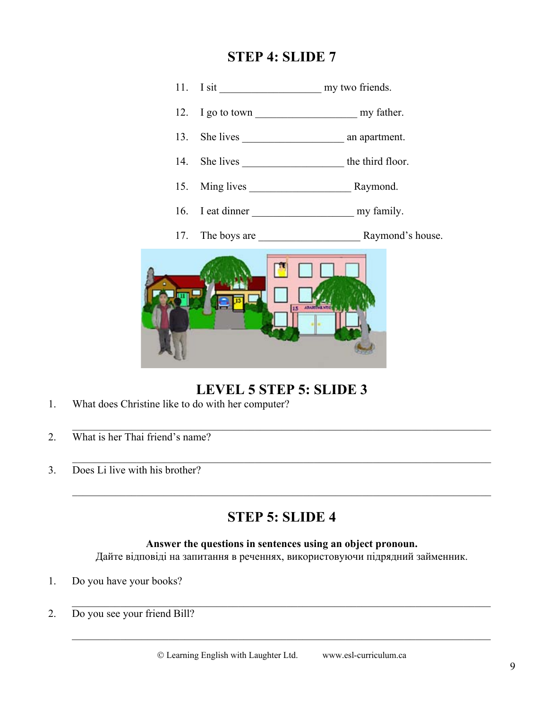### **STEP 4: SLIDE 7**



# **LEVEL 5 STEP 5: SLIDE 3**

- 1. What does Christine like to do with her computer?
- 2. What is her Thai friend's name?
- 3. Does Li live with his brother?

# **STEP 5: SLIDE 4**

#### **Answer the questions in sentences using an object pronoun.**

 $\mathcal{L}_\text{max} = \frac{1}{2} \sum_{i=1}^{n} \frac{1}{2} \sum_{i=1}^{n} \frac{1}{2} \sum_{i=1}^{n} \frac{1}{2} \sum_{i=1}^{n} \frac{1}{2} \sum_{i=1}^{n} \frac{1}{2} \sum_{i=1}^{n} \frac{1}{2} \sum_{i=1}^{n} \frac{1}{2} \sum_{i=1}^{n} \frac{1}{2} \sum_{i=1}^{n} \frac{1}{2} \sum_{i=1}^{n} \frac{1}{2} \sum_{i=1}^{n} \frac{1}{2} \sum_{i=1}^{n} \frac{1$ 

Дайте відповіді на запитання в реченнях, використовуючи підрядний займенник.

- 1. Do you have your books?
- 2. Do you see your friend Bill?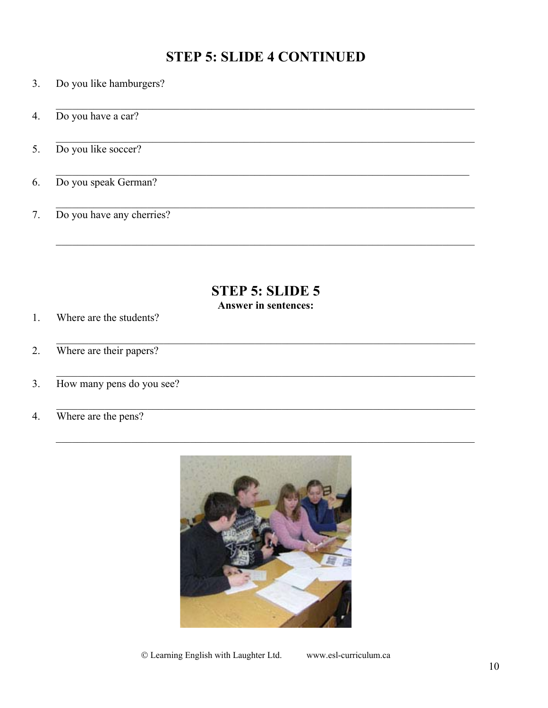# **STEP 5: SLIDE 4 CONTINUED**

- Do you like hamburgers? 3.
- Do you have a car? 4.
- Do you like soccer? 5.
- Do you speak German? 6.
- Do you have any cherries? 7.

# **STEP 5: SLIDE 5**

## **Answer in sentences:**

- Where are the students?  $1.$
- Where are their papers?  $2.$
- How many pens do you see?  $3.$
- Where are the pens?  $4.$

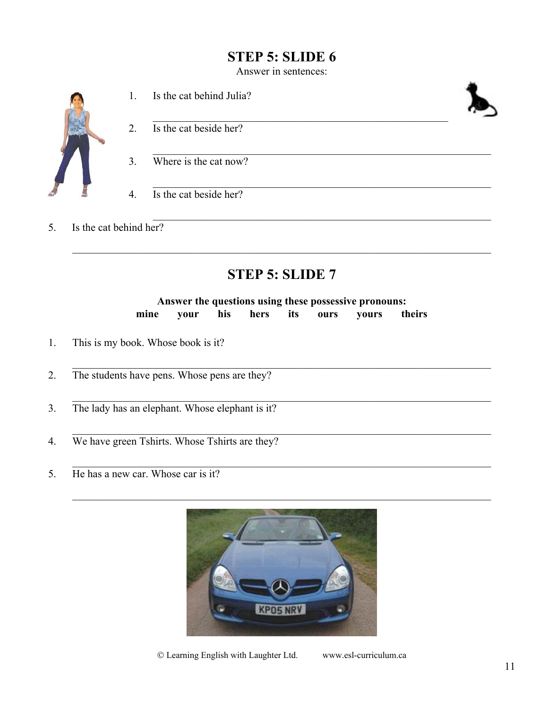# **STEP 5: SLIDE 6**

Answer in sentences:



 1. Is the cat behind Julia?  $\mathbb{Z}$  2. Is the cat beside her?  $\mathcal{L}_\mathcal{L}$ 3. Where is the cat now?

4. Is the cat beside her?

5. Is the cat behind her?

# **STEP 5: SLIDE 7**

#### **Answer the questions using these possessive pronouns: mine your his hers its ours yours theirs**

- 1. This is my book. Whose book is it?
- 2. The students have pens. Whose pens are they?
- 3. The lady has an elephant. Whose elephant is it?
- 4. We have green Tshirts. Whose Tshirts are they?
- 5. He has a new car. Whose car is it?



Learning English with Laughter Ltd. www.esl-curriculum.ca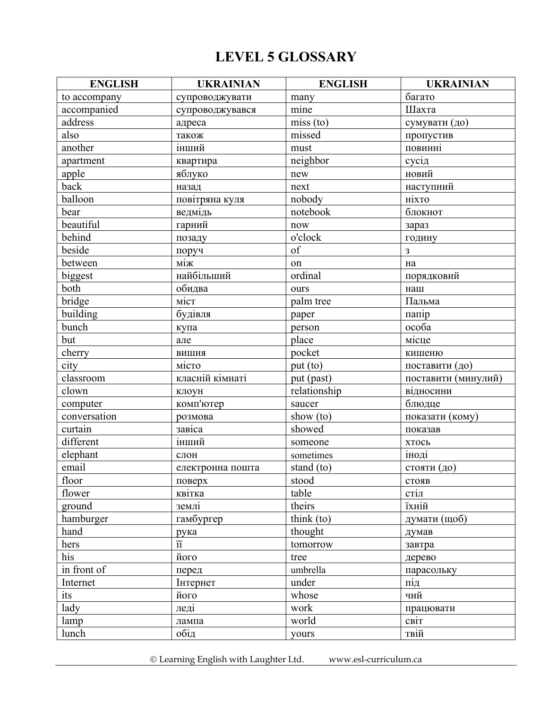# **LEVEL 5 GLOSSARY**

| <b>ENGLISH</b> | <b>UKRAINIAN</b> | <b>ENGLISH</b> | <b>UKRAINIAN</b>    |
|----------------|------------------|----------------|---------------------|
| to accompany   | супроводжувати   | many           | багато              |
| accompanied    | супроводжувався  | mine           | Шахта               |
| address        | адреса           | miss(to)       | сумувати (до)       |
| also           | також            | missed         | пропустив           |
| another        | інший            | must           | повинні             |
| apartment      | квартира         | neighbor       | сусід               |
| apple          | яблуко           | new            | новий               |
| back           | назад            | next           | наступний           |
| balloon        | повітряна куля   | nobody         | ніхто               |
| bear           | ведмідь          | notebook       | блокнот             |
| beautiful      | гарний           | now            | зараз               |
| behind         | позаду           | o'clock        | годину              |
| beside         | поруч            | of             | 3                   |
| between        | між              | on             | на                  |
| biggest        | найбільший       | ordinal        | порядковий          |
| both           | обидва           | ours           | наш                 |
| bridge         | міст             | palm tree      | Пальма              |
| building       | будівля          | paper          | папір               |
| bunch          | купа             | person         | особа               |
| but            | але              | place          | місце               |
| cherry         | вишня            | pocket         | кишеню              |
| city           | місто            | put (to)       | поставити (до)      |
| classroom      | класній кімнаті  | put (past)     | поставити (минулий) |
| clown          | клоун            | relationship   | відносини           |
| computer       | комп'ютер        | saucer         | блюдце              |
| conversation   | розмова          | show (to)      | показати (кому)     |
| curtain        | завіса           | showed         | показав             |
| different      | <u>інший</u>     | someone        | хтось               |
| elephant       | слон             | sometimes      | іноді               |
| email          | електронна пошта | stand (to)     | стояти (до)         |
| floor          | поверх           | stood          | стояв               |
| flower         | квітка           | table          | стіл                |
| ground         | землі            | theirs         | їхній               |
| hamburger      | гамбургер        | think (to)     | думати (щоб)        |
| hand           | рука             | thought        | думав               |
| hers           |                  | tomorrow       | завтра              |
| his            | його             | tree           | дерево              |
| in front of    | перед            | umbrella       | парасольку          |
| Internet       | Інтернет         | under          | під                 |
| its            | його             | whose          | чий                 |
| lady           | леді             | work           | працювати           |
| lamp           | лампа            | world          | світ                |
| lunch          | обід             | yours          | твій                |

Learning English with Laughter Ltd. www.esl-curriculum.ca